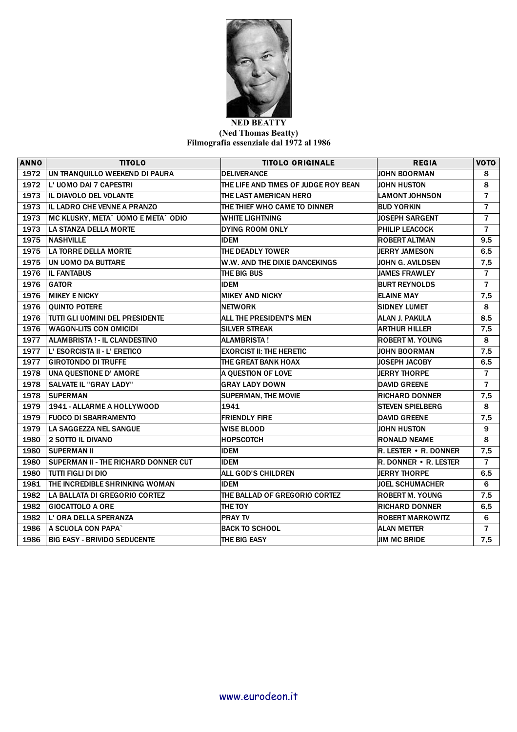

## **NED BEATTY (Ned Thomas Beatty) Filmografia essenziale dal 1972 al 1986**

| <b>ANNO</b> | <b>TITOLO</b>                        | <b>TITOLO ORIGINALE</b>              | <b>REGIA</b>                 | VOTO           |
|-------------|--------------------------------------|--------------------------------------|------------------------------|----------------|
| 1972        | UN TRANQUILLO WEEKEND DI PAURA       | <b>DELIVERANCE</b>                   | <b>JOHN BOORMAN</b>          | 8              |
| 1972        | L' UOMO DAI 7 CAPESTRI               | THE LIFE AND TIMES OF JUDGE ROY BEAN | JOHN HUSTON                  | 8              |
| 1973        | IL DIAVOLO DEL VOLANTE               | THE LAST AMERICAN HERO               | <b>LAMONT JOHNSON</b>        | $\overline{7}$ |
| 1973        | IL LADRO CHE VENNE A PRANZO          | THE THIEF WHO CAME TO DINNER         | <b>BUD YORKIN</b>            | $\overline{7}$ |
| 1973        | MC KLUSKY, META` UOMO E META` ODIO   | <b>WHITE LIGHTNING</b>               | <b>JOSEPH SARGENT</b>        | $\overline{7}$ |
| 1973        | LA STANZA DELLA MORTE                | <b>DYING ROOM ONLY</b>               | <b>PHILIP LEACOCK</b>        | $\overline{7}$ |
| 1975        | <b>NASHVILLE</b>                     | <b>IDEM</b>                          | <b>ROBERT ALTMAN</b>         | 9,5            |
| 1975        | <b>LA TORRE DELLA MORTE</b>          | THE DEADLY TOWER                     | JERRY JAMESON                | 6,5            |
| 1975        | UN UOMO DA BUTTARE                   | W.W. AND THE DIXIE DANCEKINGS        | JOHN G. AVILDSEN             | 7,5            |
| 1976        | <b>IL FANTABUS</b>                   | THE BIG BUS                          | <b>JAMES FRAWLEY</b>         | $\overline{7}$ |
| 1976        | <b>GATOR</b>                         | <b>IDEM</b>                          | <b>BURT REYNOLDS</b>         | $\overline{7}$ |
| 1976        | <b>MIKEY E NICKY</b>                 | <b>MIKEY AND NICKY</b>               | <b>ELAINE MAY</b>            | 7,5            |
| 1976        | <b>QUINTO POTERE</b>                 | <b>NETWORK</b>                       | <b>SIDNEY LUMET</b>          | 8              |
| 1976        | TUTTI GLI UOMINI DEL PRESIDENTE      | ALL THE PRESIDENTS MEN               | ALAN J. PAKULA               | 8,5            |
| 1976        | <b>WAGON-LITS CON OMICIDI</b>        | <b>SILVER STREAK</b>                 | <b>ARTHUR HILLER</b>         | 7,5            |
| 1977        | ALAMBRISTA ! - IL CLANDESTINO        | <b>ALAMBRISTA!</b>                   | <b>ROBERT M. YOUNG</b>       | 8              |
| 1977        | L' ESORCISTA II - L' ERETICO         | <b>EXORCIST II: THE HERETIC</b>      | <b>JOHN BOORMAN</b>          | 7,5            |
| 1977        | <b>GIROTONDO DI TRUFFE</b>           | THE GREAT BANK HOAX                  | JOSEPH JACOBY                | 6,5            |
| 1978        | UNA QUESTIONE D' AMORE               | A QUESTION OF LOVE                   | <b>JERRY THORPE</b>          | $\overline{7}$ |
| 1978        | <b>SALVATE IL "GRAY LADY"</b>        | <b>GRAY LADY DOWN</b>                | <b>DAVID GREENE</b>          | $\overline{7}$ |
| 1978        | <b>SUPERMAN</b>                      | <b>SUPERMAN, THE MOVIE</b>           | <b>RICHARD DONNER</b>        | 7,5            |
| 1979        | 1941 - ALLARME A HOLLYWOOD           | 1941                                 | <b>STEVEN SPIELBERG</b>      | 8              |
| 1979        | <b>FUOCO DI SBARRAMENTO</b>          | <b>FRIENDLY FIRE</b>                 | <b>DAVID GREENE</b>          | 7,5            |
| 1979        | LA SAGGEZZA NEL SANGUE               | <b>WISE BLOOD</b>                    | <b>JOHN HUSTON</b>           | 9              |
| 1980        | <b>2 SOTTO IL DIVANO</b>             | <b>HOPSCOTCH</b>                     | <b>RONALD NEAME</b>          | 8              |
| 1980        | <b>SUPERMAN II</b>                   | <b>IDEM</b>                          | $R$ . LESTER • R. DONNER     | 7,5            |
| 1980        | SUPERMAN II - THE RICHARD DONNER CUT | <b>IDEM</b>                          | <b>R. DONNER • R. LESTER</b> | $\overline{7}$ |
| 1980        | <b>TUTTI FIGLI DI DIO</b>            | <b>ALL GOD'S CHILDREN</b>            | <b>JERRY THORPE</b>          | 6,5            |
| 1981        | THE INCREDIBLE SHRINKING WOMAN       | <b>IDEM</b>                          | <b>JOEL SCHUMACHER</b>       | 6              |
| 1982        | LA BALLATA DI GREGORIO CORTEZ        | THE BALLAD OF GREGORIO CORTEZ        | <b>ROBERT M. YOUNG</b>       | 7,5            |
| 1982        | <b>GIOCATTOLO A ORE</b>              | THE TOY                              | <b>RICHARD DONNER</b>        | 6, 5           |
| 1982        | L' ORA DELLA SPERANZA                | <b>PRAY TV</b>                       | <b>ROBERT MARKOWITZ</b>      | 6              |
| 1986        | A SCUOLA CON PAPA`                   | <b>BACK TO SCHOOL</b>                | <b>ALAN METTER</b>           | $\overline{7}$ |
| 1986        | <b>BIG EASY - BRIVIDO SEDUCENTE</b>  | THE BIG EASY                         | <b>JIM MC BRIDE</b>          | 7,5            |